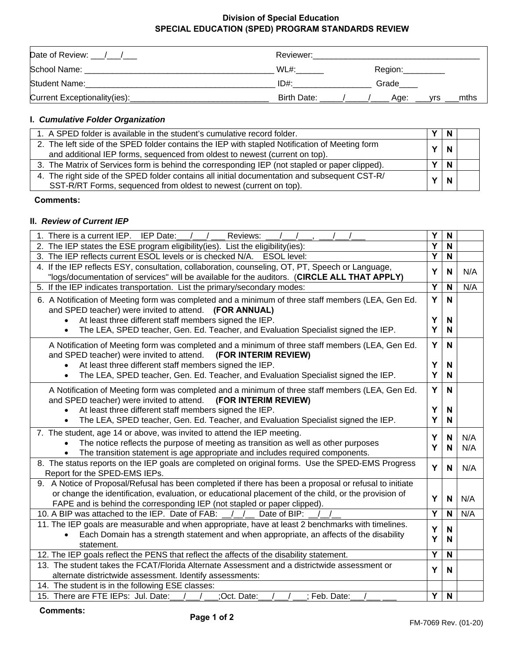#### **Division of Special Education SPECIAL EDUCATION (SPED) PROGRAM STANDARDS REVIEW**

| Date of Review: 11           | Reviewer:   |                     |
|------------------------------|-------------|---------------------|
| School Name:                 | WL#:        | Region:             |
| <b>Student Name:</b>         | $ID#$ :     | Grade               |
| Current Exceptionality(ies): | Birth Date: | mths<br>Age:<br>vrs |

### **I.** *Cumulative Folder Organization*

| 1. A SPED folder is available in the student's cumulative record folder.                       |             | -N       |  |
|------------------------------------------------------------------------------------------------|-------------|----------|--|
| 2. The left side of the SPED folder contains the IEP with stapled Notification of Meeting form | $\mathbf N$ |          |  |
| and additional IEP forms, sequenced from oldest to newest (current on top).                    |             |          |  |
| 3. The Matrix of Services form is behind the corresponding IEP (not stapled or paper clipped). |             | <b>N</b> |  |
| 4. The right side of the SPED folder contains all initial documentation and subsequent CST-R/  | <b>N</b>    |          |  |
| SST-R/RT Forms, sequenced from oldest to newest (current on top).                              |             |          |  |

#### **Comments:**

#### **II.** *Review of Current IEP*

| 1. There is a current IEP. IEP Date:<br>Reviews:                                                                                                                                                                                                                                           | Y      | N            |            |
|--------------------------------------------------------------------------------------------------------------------------------------------------------------------------------------------------------------------------------------------------------------------------------------------|--------|--------------|------------|
| 2. The IEP states the ESE program eligibility(ies). List the eligibility(ies):                                                                                                                                                                                                             |        | N            |            |
| 3. The IEP reflects current ESOL levels or is checked N/A. ESOL level:                                                                                                                                                                                                                     |        | $\mathsf{N}$ |            |
| 4. If the IEP reflects ESY, consultation, collaboration, counseling, OT, PT, Speech or Language,<br>"logs/documentation of services" will be available for the auditors. (CIRCLE ALL THAT APPLY)                                                                                           |        |              | N/A        |
| 5. If the IEP indicates transportation. List the primary/secondary modes:                                                                                                                                                                                                                  | Y      | N            | N/A        |
| 6. A Notification of Meeting form was completed and a minimum of three staff members (LEA, Gen Ed.<br>and SPED teacher) were invited to attend. (FOR ANNUAL)                                                                                                                               | Y      | N            |            |
| At least three different staff members signed the IEP.                                                                                                                                                                                                                                     | Y<br>Y | N<br>N       |            |
| The LEA, SPED teacher, Gen. Ed. Teacher, and Evaluation Specialist signed the IEP.<br>$\bullet$                                                                                                                                                                                            |        |              |            |
| A Notification of Meeting form was completed and a minimum of three staff members (LEA, Gen Ed.<br>and SPED teacher) were invited to attend. (FOR INTERIM REVIEW)                                                                                                                          | Y      | N            |            |
| At least three different staff members signed the IEP.                                                                                                                                                                                                                                     | Y      | N            |            |
| The LEA, SPED teacher, Gen. Ed. Teacher, and Evaluation Specialist signed the IEP.<br>$\bullet$                                                                                                                                                                                            | Y      | N            |            |
| A Notification of Meeting form was completed and a minimum of three staff members (LEA, Gen Ed.<br>and SPED teacher) were invited to attend.<br>(FOR INTERIM REVIEW)                                                                                                                       | Y      | N            |            |
| At least three different staff members signed the IEP.                                                                                                                                                                                                                                     | Υ      | N            |            |
| The LEA, SPED teacher, Gen. Ed. Teacher, and Evaluation Specialist signed the IEP.<br>$\bullet$                                                                                                                                                                                            | Y      | N            |            |
| 7. The student, age 14 or above, was invited to attend the IEP meeting.<br>The notice reflects the purpose of meeting as transition as well as other purposes<br>The transition statement is age appropriate and includes required components.                                             | Y<br>Y | N<br>N       | N/A<br>N/A |
| 8. The status reports on the IEP goals are completed on original forms. Use the SPED-EMS Progress<br>Report for the SPED-EMS IEPs.                                                                                                                                                         | Y      | N            | N/A        |
| 9. A Notice of Proposal/Refusal has been completed if there has been a proposal or refusal to initiate<br>or change the identification, evaluation, or educational placement of the child, or the provision of<br>FAPE and is behind the corresponding IEP (not stapled or paper clipped). | Y      | N            | N/A        |
| 10. A BIP was attached to the IEP. Date of FAB:<br>Date of BIP:                                                                                                                                                                                                                            | Y      | N            | N/A        |
| 11. The IEP goals are measurable and when appropriate, have at least 2 benchmarks with timelines.<br>Each Domain has a strength statement and when appropriate, an affects of the disability<br>statement.                                                                                 |        | N<br>N       |            |
| 12. The IEP goals reflect the PENS that reflect the affects of the disability statement.                                                                                                                                                                                                   | Ý      | N            |            |
| 13. The student takes the FCAT/Florida Alternate Assessment and a districtwide assessment or                                                                                                                                                                                               |        |              |            |
| alternate districtwide assessment. Identify assessments:                                                                                                                                                                                                                                   | Y      | N            |            |
| 14. The student is in the following ESE classes:                                                                                                                                                                                                                                           |        |              |            |
| 15. There are FTE IEPs: Jul. Date:<br>:Oct. Date:<br>; Feb. Date:                                                                                                                                                                                                                          | Y      | N            |            |